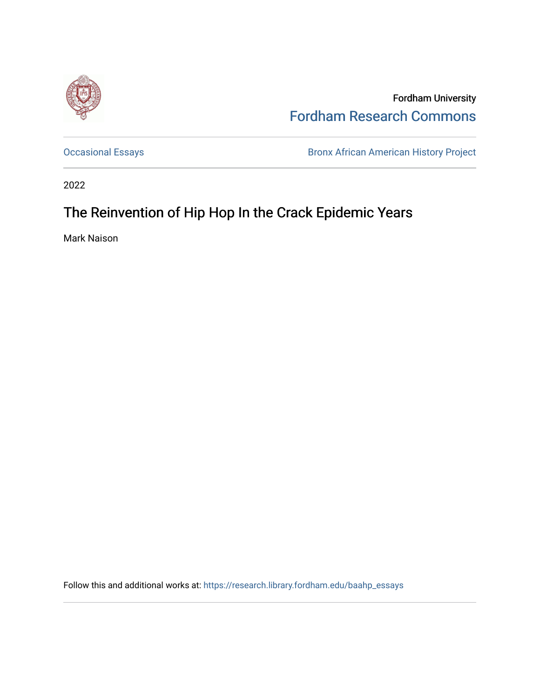

Fordham University [Fordham Research Commons](https://research.library.fordham.edu/) 

[Occasional Essays](https://research.library.fordham.edu/baahp_essays) **Bronx African American History Project** Bronx African American History Project

2022

## The Reinvention of Hip Hop In the Crack Epidemic Years

Mark Naison

Follow this and additional works at: [https://research.library.fordham.edu/baahp\\_essays](https://research.library.fordham.edu/baahp_essays?utm_source=research.library.fordham.edu%2Fbaahp_essays%2F16&utm_medium=PDF&utm_campaign=PDFCoverPages)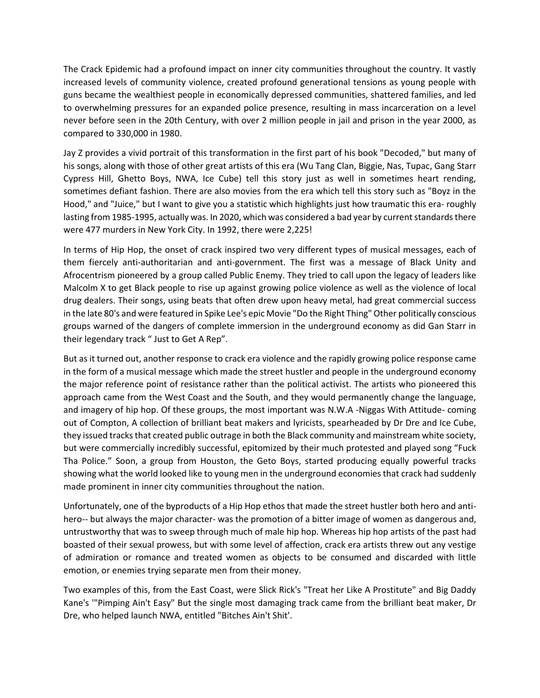The Crack Epidemic had a profound impact on inner city communities throughout the country. It vastly increased levels of community violence, created profound generational tensions as young people with guns became the wealthiest people in economically depressed communities, shattered families, and led to overwhelming pressures for an expanded police presence, resulting in mass incarceration on a level never before seen in the 20th Century, with over 2 million people in jail and prison in the year 2000, as compared to 330,000 in 1980.

Jay Z provides a vivid portrait of this transformation in the first part of his book "Decoded," but many of his songs, along with those of other great artists of this era (Wu Tang Clan, Biggie, Nas, Tupac, Gang Starr Cypress Hill, Ghetto Boys, NWA, Ice Cube) tell this story just as well in sometimes heart rending, sometimes defiant fashion. There are also movies from the era which tell this story such as "Boyz in the Hood," and "Juice," but I want to give you a statistic which highlights just how traumatic this era- roughly lasting from 1985-1995, actually was. In 2020, which was considered a bad year by current standards there were 477 murders in New York City. In 1992, there were 2,225!

In terms of Hip Hop, the onset of crack inspired two very different types of musical messages, each of them fiercely anti-authoritarian and anti-government. The first was a message of Black Unity and Afrocentrism pioneered by a group called Public Enemy. They tried to call upon the legacy of leaders like Malcolm X to get Black people to rise up against growing police violence as well as the violence of local drug dealers. Their songs, using beats that often drew upon heavy metal, had great commercial success in the late 80's and were featured in Spike Lee's epic Movie "Do the Right Thing" Other politically conscious groups warned of the dangers of complete immersion in the underground economy as did Gan Starr in their legendary track " Just to Get A Rep".

But as it turned out, another response to crack era violence and the rapidly growing police response came in the form of a musical message which made the street hustler and people in the underground economy the major reference point of resistance rather than the political activist. The artists who pioneered this approach came from the West Coast and the South, and they would permanently change the language, and imagery of hip hop. Of these groups, the most important was N.W.A -Niggas With Attitude- coming out of Compton, A collection of brilliant beat makers and lyricists, spearheaded by Dr Dre and Ice Cube, they issued tracks that created public outrage in both the Black community and mainstream white society, but were commercially incredibly successful, epitomized by their much protested and played song "Fuck Tha Police." Soon, a group from Houston, the Geto Boys, started producing equally powerful tracks showing what the world looked like to young men in the underground economies that crack had suddenly made prominent in inner city communities throughout the nation.

Unfortunately, one of the byproducts of a Hip Hop ethos that made the street hustler both hero and antihero-- but always the major character- was the promotion of a bitter image of women as dangerous and, untrustworthy that was to sweep through much of male hip hop. Whereas hip hop artists of the past had boasted of their sexual prowess, but with some level of affection, crack era artists threw out any vestige of admiration or romance and treated women as objects to be consumed and discarded with little emotion, or enemies trying separate men from their money.

Two examples of this, from the East Coast, were Slick Rick's "Treat her Like A Prostitute" and Big Daddy Kane's '"Pimping Ain't Easy" But the single most damaging track came from the brilliant beat maker, Dr Dre, who helped launch NWA, entitled "Bitches Ain't Shit'.